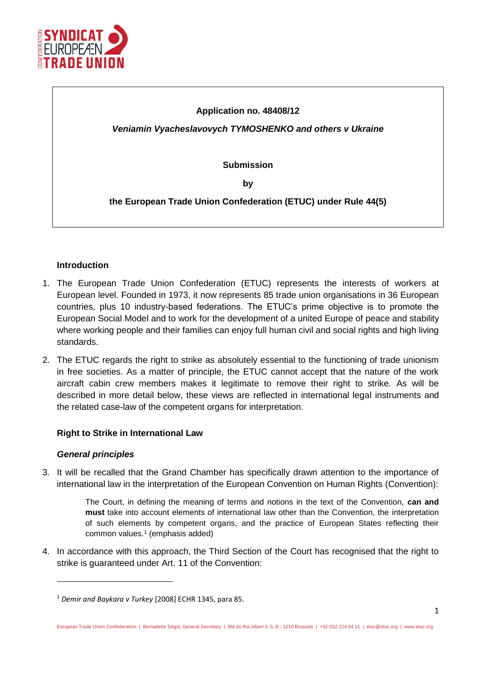

## **Application no. 48408/12**

*Veniamin Vyacheslavovych TYMOSHENKO and others v Ukraine*

**Submission**

**by**

**the European Trade Union Confederation (ETUC) under Rule 44(5)**

## **Introduction**

- 1. The European Trade Union Confederation (ETUC) represents the interests of workers at European level. Founded in 1973, it now represents 85 trade union organisations in 36 European countries, plus 10 industry-based federations. The ETUC's prime objective is to promote the European Social Model and to work for the development of a united Europe of peace and stability where working people and their families can enjoy full human civil and social rights and high living standards.
- 2. The ETUC regards the right to strike as absolutely essential to the functioning of trade unionism in free societies. As a matter of principle, the ETUC cannot accept that the nature of the work aircraft cabin crew members makes it legitimate to remove their right to strike. As will be described in more detail below, these views are reflected in international legal instruments and the related case-law of the competent organs for interpretation.

## **Right to Strike in International Law**

#### *General principles*

1

<span id="page-0-1"></span>3. It will be recalled that the Grand Chamber has specifically drawn attention to the importance of international law in the interpretation of the European Convention on Human Rights (Convention):

> <span id="page-0-0"></span>The Court, in defining the meaning of terms and notions in the text of the Convention, **can and must** take into account elements of international law other than the Convention, the interpretation of such elements by competent organs, and the practice of European States reflecting their common values.<sup>1</sup> (emphasis added)

4. In accordance with this approach, the Third Section of the Court has recognised that the right to strike is guaranteed under Art. 11 of the Convention:

<sup>1</sup> *Demir and Baykara v Turkey* [2008] ECHR 1345, para 85.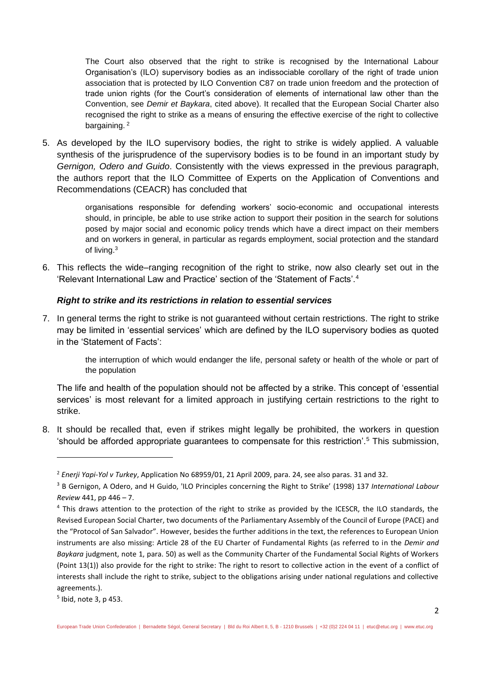The Court also observed that the right to strike is recognised by the International Labour Organisation's (ILO) supervisory bodies as an indissociable corollary of the right of trade union association that is protected by ILO Convention C87 on trade union freedom and the protection of trade union rights (for the Court's consideration of elements of international law other than the Convention, see *Demir et Baykara*, cited above). It recalled that the European Social Charter also recognised the right to strike as a means of ensuring the effective exercise of the right to collective bargaining.<sup>2</sup>

5. As developed by the ILO supervisory bodies, the right to strike is widely applied. A valuable synthesis of the jurisprudence of the supervisory bodies is to be found in an important study by *Gernigon, Odero and Guido*. Consistently with the views expressed in the previous paragraph, the authors report that the ILO Committee of Experts on the Application of Conventions and Recommendations (CEACR) has concluded that

> <span id="page-1-0"></span>organisations responsible for defending workers' socio-economic and occupational interests should, in principle, be able to use strike action to support their position in the search for solutions posed by major social and economic policy trends which have a direct impact on their members and on workers in general, in particular as regards employment, social protection and the standard of living.<sup>3</sup>

6. This reflects the wide–ranging recognition of the right to strike, now also clearly set out in the 'Relevant International Law and Practice' section of the 'Statement of Facts'.<sup>4</sup>

## *Right to strike and its restrictions in relation to essential services*

7. In general terms the right to strike is not guaranteed without certain restrictions. The right to strike may be limited in 'essential services' which are defined by the ILO supervisory bodies as quoted in the 'Statement of Facts':

> the interruption of which would endanger the life, personal safety or health of the whole or part of the population

The life and health of the population should not be affected by a strike. This concept of 'essential services' is most relevant for a limited approach in justifying certain restrictions to the right to strike.

8. It should be recalled that, even if strikes might legally be prohibited, the workers in question 'should be afforded appropriate guarantees to compensate for this restriction'.<sup>5</sup> This submission,

1

<sup>2</sup> *Enerji Yapi-Yol v Turkey*, Application No 68959/01, 21 April 2009, para. 24, see also paras. 31 and 32.

<sup>3</sup> B Gernigon, A Odero, and H Guido, 'ILO Principles concerning the Right to Strike' (1998) 137 *International Labour Review* 441, pp 446 – 7.

<sup>&</sup>lt;sup>4</sup> This draws attention to the protection of the right to strike as provided by the ICESCR, the ILO standards, the Revised European Social Charter, two documents of the Parliamentary Assembly of the Council of Europe (PACE) and the "Protocol of San Salvador". However, besides the further additions in the text, the references to European Union instruments are also missing: Article 28 of the EU Charter of Fundamental Rights (as referred to in the *Demir and Baykara* judgment, note [1,](#page-0-0) para. 50) as well as the Community Charter of the Fundamental Social Rights of Workers (Point 13(1)) also provide for the right to strike: The right to resort to collective action in the event of a conflict of interests shall include the right to strike, subject to the obligations arising under national regulations and collective agreements.).

<sup>5</sup> Ibid, not[e 3,](#page-1-0) p 453.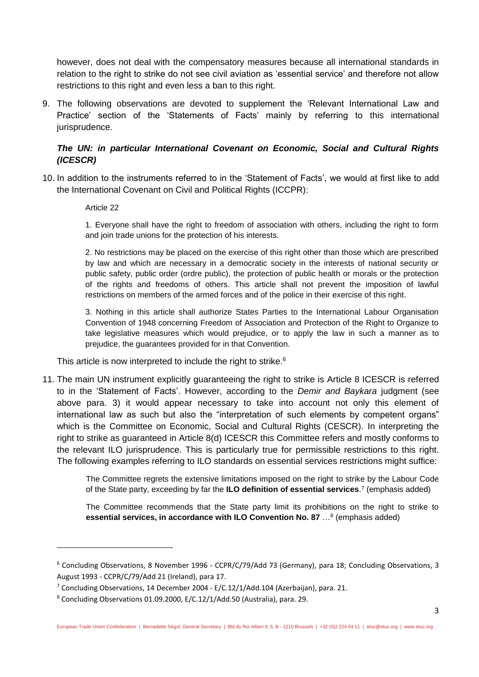however, does not deal with the compensatory measures because all international standards in relation to the right to strike do not see civil aviation as 'essential service' and therefore not allow restrictions to this right and even less a ban to this right.

9. The following observations are devoted to supplement the 'Relevant International Law and Practice' section of the 'Statements of Facts' mainly by referring to this international jurisprudence.

# *The UN: in particular International Covenant on Economic, Social and Cultural Rights (ICESCR)*

<span id="page-2-0"></span>10. In addition to the instruments referred to in the 'Statement of Facts', we would at first like to add the International Covenant on Civil and Political Rights (ICCPR):

### Article 22

**.** 

1. Everyone shall have the right to freedom of association with others, including the right to form and join trade unions for the protection of his interests.

2. No restrictions may be placed on the exercise of this right other than those which are prescribed by law and which are necessary in a democratic society in the interests of national security or public safety, public order (ordre public), the protection of public health or morals or the protection of the rights and freedoms of others. This article shall not prevent the imposition of lawful restrictions on members of the armed forces and of the police in their exercise of this right.

3. Nothing in this article shall authorize States Parties to the International Labour Organisation Convention of 1948 concerning Freedom of Association and Protection of the Right to Organize to take legislative measures which would prejudice, or to apply the law in such a manner as to prejudice, the guarantees provided for in that Convention.

This article is now interpreted to include the right to strike.<sup>6</sup>

11. The main UN instrument explicitly guaranteeing the right to strike is Article 8 ICESCR is referred to in the 'Statement of Facts'. However, according to the *Demir and Baykara* judgment (see above para. [3\)](#page-0-1) it would appear necessary to take into account not only this element of international law as such but also the "interpretation of such elements by competent organs" which is the Committee on Economic, Social and Cultural Rights (CESCR). In interpreting the right to strike as guaranteed in Article 8(d) ICESCR this Committee refers and mostly conforms to the relevant ILO jurisprudence. This is particularly true for permissible restrictions to this right. The following examples referring to ILO standards on essential services restrictions might suffice:

> The Committee regrets the extensive limitations imposed on the right to strike by the Labour Code of the State party, exceeding by far the **ILO definition of essential services**. 7 (emphasis added)

> The Committee recommends that the State party limit its prohibitions on the right to strike to **essential services, in accordance with ILO Convention No. 87** …<sup>8</sup> (emphasis added)

<sup>6</sup> Concluding Observations, 8 November 1996 - CCPR/C/79/Add 73 (Germany), para 18; Concluding Observations, 3 August 1993 - CCPR/C/79/Add 21 (Ireland), para 17.

<sup>7</sup> Concluding Observations, 14 December 2004 - E/C.12/1/Add.104 (Azerbaijan), para. 21.

<sup>8</sup> Concluding Observations 01.09.2000, E/C.12/1/Add.50 (Australia), para. 29.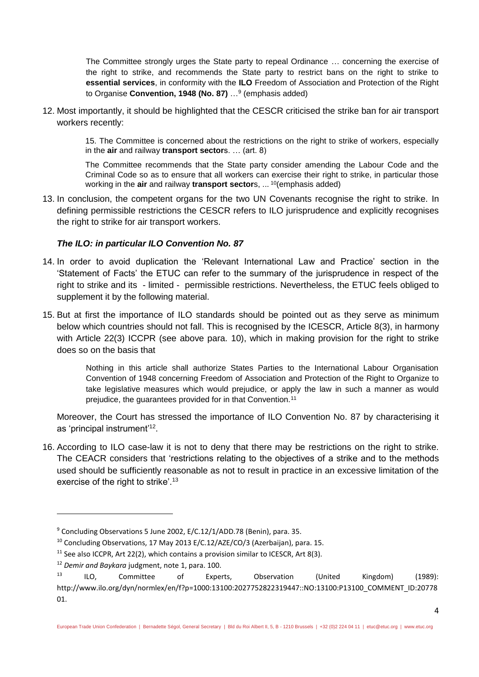The Committee strongly urges the State party to repeal Ordinance … concerning the exercise of the right to strike, and recommends the State party to restrict bans on the right to strike to **essential services**, in conformity with the **ILO** Freedom of Association and Protection of the Right to Organise **Convention, 1948 (No. 87)** …<sup>9</sup> (emphasis added)

12. Most importantly, it should be highlighted that the CESCR criticised the strike ban for air transport workers recently:

> 15. The Committee is concerned about the restrictions on the right to strike of workers, especially in the **air** and railway **transport sector**s. … (art. 8)

> The Committee recommends that the State party consider amending the Labour Code and the Criminal Code so as to ensure that all workers can exercise their right to strike, in particular those working in the **air** and railway **transport sector**s, ... <sup>10</sup>(emphasis added)

13. In conclusion, the competent organs for the two UN Covenants recognise the right to strike. In defining permissible restrictions the CESCR refers to ILO jurisprudence and explicitly recognises the right to strike for air transport workers.

## *The ILO: in particular ILO Convention No. 87*

- 14. In order to avoid duplication the 'Relevant International Law and Practice' section in the 'Statement of Facts' the ETUC can refer to the summary of the jurisprudence in respect of the right to strike and its - limited - permissible restrictions. Nevertheless, the ETUC feels obliged to supplement it by the following material.
- 15. But at first the importance of ILO standards should be pointed out as they serve as minimum below which countries should not fall. This is recognised by the ICESCR, Article 8(3), in harmony with Article 22(3) ICCPR (see above para. [10\)](#page-2-0), which in making provision for the right to strike does so on the basis that

Nothing in this article shall authorize States Parties to the International Labour Organisation Convention of 1948 concerning Freedom of Association and Protection of the Right to Organize to take legislative measures which would prejudice, or apply the law in such a manner as would prejudice, the guarantees provided for in that Convention.<sup>11</sup>

Moreover, the Court has stressed the importance of ILO Convention No. 87 by characterising it as 'principal instrument'<sup>12</sup>.

16. According to ILO case-law it is not to deny that there may be restrictions on the right to strike. The CEACR considers that 'restrictions relating to the objectives of a strike and to the methods used should be sufficiently reasonable as not to result in practice in an excessive limitation of the exercise of the right to strike'.<sup>13</sup>

 $\overline{a}$ 

<sup>&</sup>lt;sup>9</sup> Concluding Observations 5 June 2002, E/C.12/1/ADD.78 (Benin), para. 35.

<sup>&</sup>lt;sup>10</sup> Concluding Observations, 17 May 2013 E/C.12/AZE/CO/3 (Azerbaijan), para. 15.

 $11$  See also ICCPR, Art 22(2), which contains a provision similar to ICESCR, Art 8(3).

<sup>12</sup> *Demir and Baykara* judgment, note [1,](#page-0-0) para. 100.

<sup>&</sup>lt;sup>13</sup> ILO, Committee of Experts, Observation (United Kingdom) (1989): http://www.ilo.org/dyn/normlex/en/f?p=1000:13100:2027752822319447::NO:13100:P13100\_COMMENT\_ID:20778 01.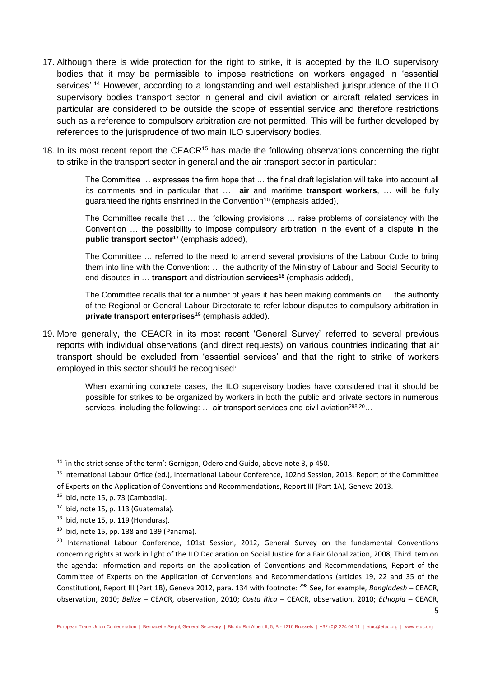- 17. Although there is wide protection for the right to strike, it is accepted by the ILO supervisory bodies that it may be permissible to impose restrictions on workers engaged in 'essential services'.<sup>14</sup> However, according to a longstanding and well established jurisprudence of the ILO supervisory bodies transport sector in general and civil aviation or aircraft related services in particular are considered to be outside the scope of essential service and therefore restrictions such as a reference to compulsory arbitration are not permitted. This will be further developed by references to the jurisprudence of two main ILO supervisory bodies.
- 18. In its most recent report the CEACR<sup>15</sup> has made the following observations concerning the right to strike in the transport sector in general and the air transport sector in particular:

<span id="page-4-0"></span>The Committee … expresses the firm hope that … the final draft legislation will take into account all its comments and in particular that … **air** and maritime **transport workers**, … will be fully guaranteed the rights enshrined in the Convention<sup>16</sup> (emphasis added),

The Committee recalls that … the following provisions … raise problems of consistency with the Convention … the possibility to impose compulsory arbitration in the event of a dispute in the **public transport sector<sup>17</sup>** (emphasis added),

The Committee … referred to the need to amend several provisions of the Labour Code to bring them into line with the Convention: … the authority of the Ministry of Labour and Social Security to end disputes in … **transport** and distribution **services<sup>18</sup>** (emphasis added),

The Committee recalls that for a number of years it has been making comments on … the authority of the Regional or General Labour Directorate to refer labour disputes to compulsory arbitration in **private transport enterprises**<sup>19</sup> (emphasis added).

19. More generally, the CEACR in its most recent 'General Survey' referred to several previous reports with individual observations (and direct requests) on various countries indicating that air transport should be excluded from 'essential services' and that the right to strike of workers employed in this sector should be recognised:

> When examining concrete cases, the ILO supervisory bodies have considered that it should be possible for strikes to be organized by workers in both the public and private sectors in numerous services, including the following: ... air transport services and civil aviation<sup>298 20</sup>...

**.** 

<sup>&</sup>lt;sup>14</sup> 'in the strict sense of the term': Gernigon, Odero and Guido, above not[e 3,](#page-1-0) p 450.

<sup>&</sup>lt;sup>15</sup> International Labour Office (ed.), International Labour Conference, 102nd Session, 2013, Report of the Committee of Experts on the Application of Conventions and Recommendations, Report III (Part 1A), Geneva 2013.

 $16$  Ibid, note [15,](#page-4-0) p. 73 (Cambodia).

 $17$  Ibid, note [15,](#page-4-0) p. 113 (Guatemala).

 $18$  Ibid, note [15,](#page-4-0) p. 119 (Honduras).

 $19$  Ibid, note [15,](#page-4-0) pp. 138 and 139 (Panama).

<sup>&</sup>lt;sup>20</sup> International Labour Conference, 101st Session, 2012, General Survey on the fundamental Conventions concerning rights at work in light of the ILO Declaration on Social Justice for a Fair Globalization, 2008, Third item on the agenda: Information and reports on the application of Conventions and Recommendations, Report of the Committee of Experts on the Application of Conventions and Recommendations (articles 19, 22 and 35 of the Constitution), Report III (Part 1B), Geneva 2012, para. 134 with footnote: <sup>298</sup> See, for example, *Bangladesh* – CEACR, observation, 2010; *Belize* – CEACR, observation, 2010; *Costa Rica* – CEACR, observation, 2010; *Ethiopia* – CEACR,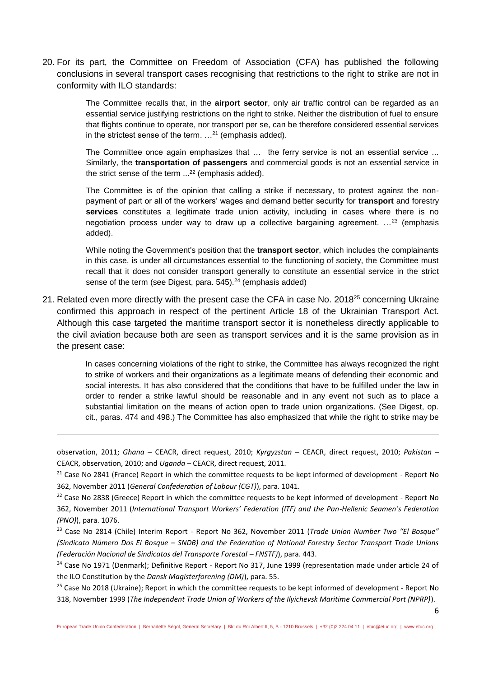20. For its part, the Committee on Freedom of Association (CFA) has published the following conclusions in several transport cases recognising that restrictions to the right to strike are not in conformity with ILO standards:

> The Committee recalls that, in the **airport sector**, only air traffic control can be regarded as an essential service justifying restrictions on the right to strike. Neither the distribution of fuel to ensure that flights continue to operate, nor transport per se, can be therefore considered essential services in the strictest sense of the term.  $\dots$ <sup>21</sup> (emphasis added).

> The Committee once again emphasizes that ... the ferry service is not an essential service ... Similarly, the **transportation of passengers** and commercial goods is not an essential service in the strict sense of the term ... <sup>22</sup> (emphasis added).

> The Committee is of the opinion that calling a strike if necessary, to protest against the nonpayment of part or all of the workers' wages and demand better security for **transport** and forestry **services** constitutes a legitimate trade union activity, including in cases where there is no negotiation process under way to draw up a collective bargaining agreement. …<sup>23</sup> (emphasis added).

> <span id="page-5-0"></span>While noting the Government's position that the **transport sector**, which includes the complainants in this case, is under all circumstances essential to the functioning of society, the Committee must recall that it does not consider transport generally to constitute an essential service in the strict sense of the term (see Digest, para. 545).<sup>24</sup> (emphasis added)

21. Related even more directly with the present case the CFA in case No. 2018<sup>25</sup> concerning Ukraine confirmed this approach in respect of the pertinent Article 18 of the Ukrainian Transport Act. Although this case targeted the maritime transport sector it is nonetheless directly applicable to the civil aviation because both are seen as transport services and it is the same provision as in the present case:

> In cases concerning violations of the right to strike, the Committee has always recognized the right to strike of workers and their organizations as a legitimate means of defending their economic and social interests. It has also considered that the conditions that have to be fulfilled under the law in order to render a strike lawful should be reasonable and in any event not such as to place a substantial limitation on the means of action open to trade union organizations. (See Digest, op. cit., paras. 474 and 498.) The Committee has also emphasized that while the right to strike may be

observation, 2011; *Ghana* – CEACR, direct request, 2010; *Kyrgyzstan* – CEACR, direct request, 2010; *Pakistan* – CEACR, observation, 2010; and *Uganda* – CEACR, direct request, 2011.

 $\overline{a}$ 

<sup>21</sup> Case No 2841 (France) Report in which the committee requests to be kept informed of development - Report No 362, November 2011 (*General Confederation of Labour (CGT)*), para. 1041.

<sup>23</sup> Case No 2814 (Chile) Interim Report - Report No 362, November 2011 (*Trade Union Number Two "El Bosque" (Sindicato Número Dos El Bosque – SNDB) and the Federation of National Forestry Sector Transport Trade Unions (Federación Nacional de Sindicatos del Transporte Forestal – FNSTF)*), para. 443.

<sup>25</sup> Case No 2018 (Ukraine); Report in which the committee requests to be kept informed of development - Report No 318, November 1999 (*The Independent Trade Union of Workers of the Ilyichevsk Maritime Commercial Port (NPRP)*).

<sup>&</sup>lt;sup>22</sup> Case No 2838 (Greece) Report in which the committee requests to be kept informed of development - Report No 362, November 2011 (*International Transport Workers' Federation (ITF) and the Pan-Hellenic Seamen's Federation (PNO)*), para. 1076.

<sup>&</sup>lt;sup>24</sup> Case No 1971 (Denmark); Definitive Report - Report No 317, June 1999 (representation made under article 24 of the ILO Constitution by the *Dansk Magisterforening (DM)*), para. 55.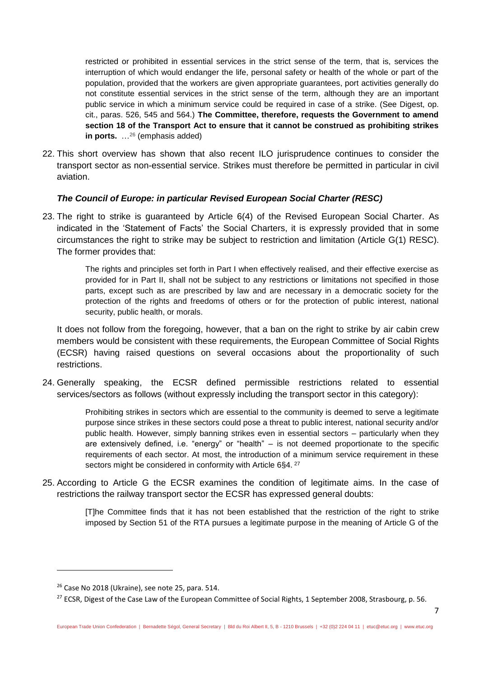restricted or prohibited in essential services in the strict sense of the term, that is, services the interruption of which would endanger the life, personal safety or health of the whole or part of the population, provided that the workers are given appropriate guarantees, port activities generally do not constitute essential services in the strict sense of the term, although they are an important public service in which a minimum service could be required in case of a strike. (See Digest, op. cit., paras. 526, 545 and 564.) **The Committee, therefore, requests the Government to amend section 18 of the Transport Act to ensure that it cannot be construed as prohibiting strikes in ports.** …<sup>26</sup> (emphasis added)

22. This short overview has shown that also recent ILO jurisprudence continues to consider the transport sector as non-essential service. Strikes must therefore be permitted in particular in civil aviation.

## *The Council of Europe: in particular Revised European Social Charter (RESC)*

23. The right to strike is guaranteed by Article 6(4) of the Revised European Social Charter. As indicated in the 'Statement of Facts' the Social Charters, it is expressly provided that in some circumstances the right to strike may be subject to restriction and limitation (Article G(1) RESC). The former provides that:

> The rights and principles set forth in Part I when effectively realised, and their effective exercise as provided for in Part II, shall not be subject to any restrictions or limitations not specified in those parts, except such as are prescribed by law and are necessary in a democratic society for the protection of the rights and freedoms of others or for the protection of public interest, national security, public health, or morals.

It does not follow from the foregoing, however, that a ban on the right to strike by air cabin crew members would be consistent with these requirements, the European Committee of Social Rights (ECSR) having raised questions on several occasions about the proportionality of such restrictions.

<span id="page-6-0"></span>24. Generally speaking, the ECSR defined permissible restrictions related to essential services/sectors as follows (without expressly including the transport sector in this category):

> <span id="page-6-1"></span>Prohibiting strikes in sectors which are essential to the community is deemed to serve a legitimate purpose since strikes in these sectors could pose a threat to public interest, national security and/or public health. However, simply banning strikes even in essential sectors – particularly when they are extensively defined, i.e. "energy" or "health" – is not deemed proportionate to the specific requirements of each sector. At most, the introduction of a minimum service requirement in these sectors might be considered in conformity with Article 6§4.<sup>27</sup>

25. According to Article G the ECSR examines the condition of legitimate aims. In the case of restrictions the railway transport sector the ECSR has expressed general doubts:

> [T]he Committee finds that it has not been established that the restriction of the right to strike imposed by Section 51 of the RTA pursues a legitimate purpose in the meaning of Article G of the

**.** 

<sup>26</sup> Case No 2018 (Ukraine), see note [25,](#page-5-0) para. 514.

<sup>&</sup>lt;sup>27</sup> ECSR, Digest of the Case Law of the European Committee of Social Rights, 1 September 2008, Strasbourg, p. 56.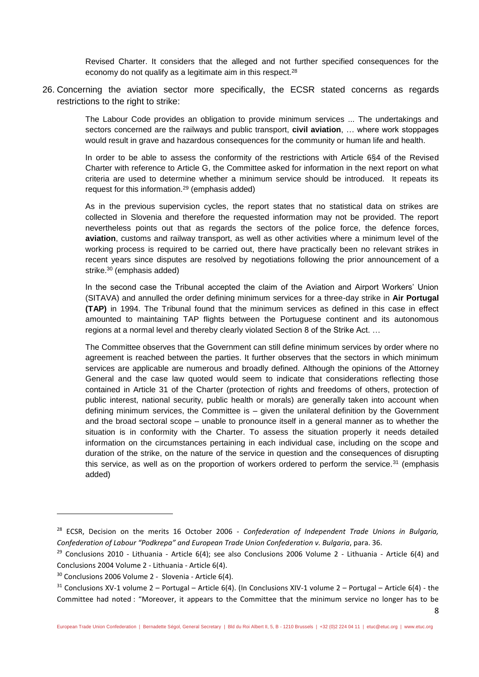Revised Charter. It considers that the alleged and not further specified consequences for the economy do not qualify as a legitimate aim in this respect.<sup>28</sup>

26. Concerning the aviation sector more specifically, the ECSR stated concerns as regards restrictions to the right to strike:

> The Labour Code provides an obligation to provide minimum services ... The undertakings and sectors concerned are the railways and public transport, **civil aviation**, … where work stoppages would result in grave and hazardous consequences for the community or human life and health.

> In order to be able to assess the conformity of the restrictions with Article 6§4 of the Revised Charter with reference to Article G, the Committee asked for information in the next report on what criteria are used to determine whether a minimum service should be introduced. It repeats its request for this information.<sup>29</sup> (emphasis added)

> As in the previous supervision cycles, the report states that no statistical data on strikes are collected in Slovenia and therefore the requested information may not be provided. The report nevertheless points out that as regards the sectors of the police force, the defence forces, **aviation**, customs and railway transport, as well as other activities where a minimum level of the working process is required to be carried out, there have practically been no relevant strikes in recent years since disputes are resolved by negotiations following the prior announcement of a strike.<sup>30</sup> (emphasis added)

> In the second case the Tribunal accepted the claim of the Aviation and Airport Workers' Union (SITAVA) and annulled the order defining minimum services for a three-day strike in **Air Portugal (TAP)** in 1994. The Tribunal found that the minimum services as defined in this case in effect amounted to maintaining TAP flights between the Portuguese continent and its autonomous regions at a normal level and thereby clearly violated Section 8 of the Strike Act. …

> The Committee observes that the Government can still define minimum services by order where no agreement is reached between the parties. It further observes that the sectors in which minimum services are applicable are numerous and broadly defined. Although the opinions of the Attorney General and the case law quoted would seem to indicate that considerations reflecting those contained in Article 31 of the Charter (protection of rights and freedoms of others, protection of public interest, national security, public health or morals) are generally taken into account when defining minimum services, the Committee is – given the unilateral definition by the Government and the broad sectoral scope – unable to pronounce itself in a general manner as to whether the situation is in conformity with the Charter. To assess the situation properly it needs detailed information on the circumstances pertaining in each individual case, including on the scope and duration of the strike, on the nature of the service in question and the consequences of disrupting this service, as well as on the proportion of workers ordered to perform the service.<sup>31</sup> (emphasis added)

 $\overline{a}$ 

<sup>28</sup> ECSR, Decision on the merits 16 October 2006 - *Confederation of Independent Trade Unions in Bulgaria, Confederation of Labour "Podkrepa" and European Trade Union Confederation v. Bulgaria*, para. 36.

<sup>&</sup>lt;sup>29</sup> Conclusions 2010 - Lithuania - Article 6(4); see also Conclusions 2006 Volume 2 - Lithuania - Article 6(4) and Conclusions 2004 Volume 2 - Lithuania - Article 6(4).

<sup>30</sup> Conclusions 2006 Volume 2 - Slovenia - Article 6(4).

 $31$  Conclusions XV-1 volume 2 – Portugal – Article 6(4). (In Conclusions XIV-1 volume 2 – Portugal – Article 6(4) - the Committee had noted : "Moreover, it appears to the Committee that the minimum service no longer has to be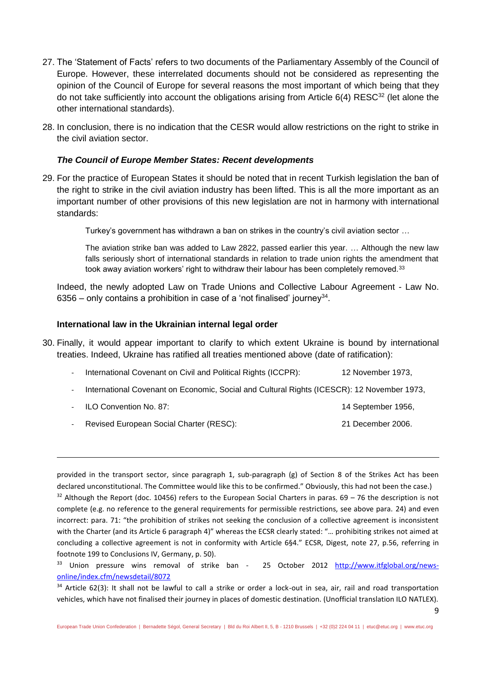- 27. The 'Statement of Facts' refers to two documents of the Parliamentary Assembly of the Council of Europe. However, these interrelated documents should not be considered as representing the opinion of the Council of Europe for several reasons the most important of which being that they do not take sufficiently into account the obligations arising from Article  $6(4)$  RESC<sup>32</sup> (let alone the other international standards).
- 28. In conclusion, there is no indication that the CESR would allow restrictions on the right to strike in the civil aviation sector.

### *The Council of Europe Member States: Recent developments*

29. For the practice of European States it should be noted that in recent Turkish legislation the ban of the right to strike in the civil aviation industry has been lifted. This is all the more important as an important number of other provisions of this new legislation are not in harmony with international standards:

Turkey's government has withdrawn a ban on strikes in the country's civil aviation sector …

The aviation strike ban was added to Law 2822, passed earlier this year. … Although the new law falls seriously short of international standards in relation to trade union rights the amendment that took away aviation workers' right to withdraw their labour has been completely removed.<sup>33</sup>

Indeed, the newly adopted Law on Trade Unions and Collective Labour Agreement - Law No. 6356 – only contains a prohibition in case of a 'not finalised' journey<sup>34</sup>.

#### **International law in the Ukrainian internal legal order**

- 30. Finally, it would appear important to clarify to which extent Ukraine is bound by international treaties. Indeed, Ukraine has ratified all treaties mentioned above (date of ratification):
	- International Covenant on Civil and Political Rights (ICCPR): 12 November 1973, - International Covenant on Economic, Social and Cultural Rights (ICESCR): 12 November 1973,
	- ILO Convention No. 87: 14 September 1956,
	- Revised European Social Charter (RESC): 21 December 2006.

 $\overline{a}$ 

provided in the transport sector, since paragraph 1, sub-paragraph (g) of Section 8 of the Strikes Act has been declared unconstitutional. The Committee would like this to be confirmed." Obviously, this had not been the case.)  $32$  Although the Report (doc. 10456) refers to the European Social Charters in paras. 69 – 76 the description is not complete (e.g. no reference to the general requirements for permissible restrictions, see above para. [24\)](#page-6-0) and even incorrect: para. 71: "the prohibition of strikes not seeking the conclusion of a collective agreement is inconsistent with the Charter (and its Article 6 paragraph 4)" whereas the ECSR clearly stated: "... prohibiting strikes not aimed at concluding a collective agreement is not in conformity with Article 6§4." ECSR, Digest, note [27,](#page-6-1) p.56, referring in footnote 199 to Conclusions IV, Germany, p. 50).

<sup>&</sup>lt;sup>33</sup> Union pressure wins removal of strike ban - 25 October 2012 [http://www.itfglobal.org/news](http://www.itfglobal.org/news-online/index.cfm/newsdetail/8072)[online/index.cfm/newsdetail/8072](http://www.itfglobal.org/news-online/index.cfm/newsdetail/8072)

 $34$  Article 62(3): It shall not be lawful to call a strike or order a lock-out in sea, air, rail and road transportation vehicles, which have not finalised their journey in places of domestic destination. (Unofficial translation ILO NATLEX).